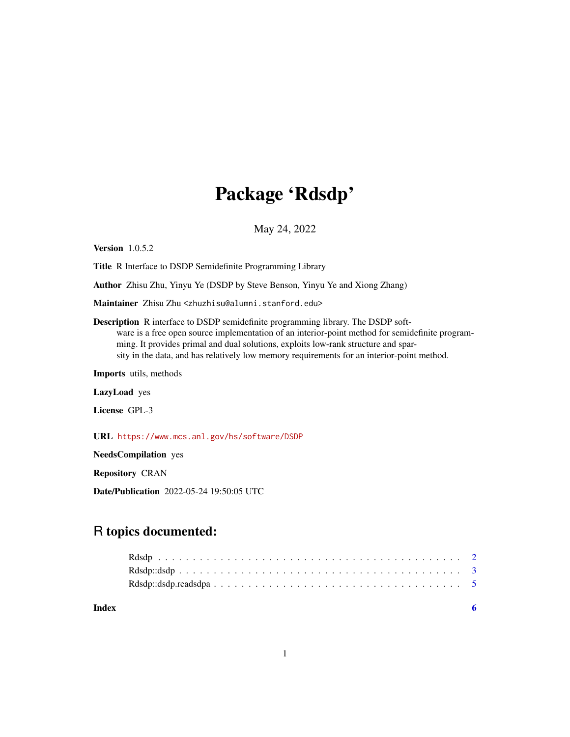## Package 'Rdsdp'

May 24, 2022

Version 1.0.5.2

Title R Interface to DSDP Semidefinite Programming Library

Author Zhisu Zhu, Yinyu Ye (DSDP by Steve Benson, Yinyu Ye and Xiong Zhang)

Maintainer Zhisu Zhu <zhuzhisu@alumni.stanford.edu>

Description R interface to DSDP semidefinite programming library. The DSDP software is a free open source implementation of an interior-point method for semidefinite programming. It provides primal and dual solutions, exploits low-rank structure and sparsity in the data, and has relatively low memory requirements for an interior-point method.

Imports utils, methods

LazyLoad yes

License GPL-3

URL <https://www.mcs.anl.gov/hs/software/DSDP>

NeedsCompilation yes

Repository CRAN

Date/Publication 2022-05-24 19:50:05 UTC

### R topics documented:

**Index** [6](#page-5-0) **6**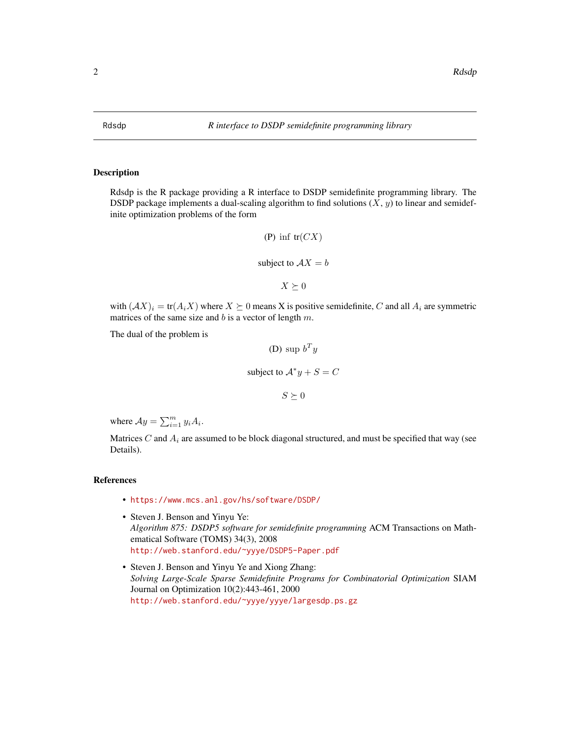<span id="page-1-0"></span>

#### Description

Rdsdp is the R package providing a R interface to DSDP semidefinite programming library. The DSDP package implements a dual-scaling algorithm to find solutions  $(X, y)$  to linear and semidefinite optimization problems of the form

(P) inf tr(CX)  
subject to 
$$
AX = b
$$
  
 $X \succeq 0$ 

with  $(AX)_i = \text{tr}(A_iX)$  where  $X \succeq 0$  means X is positive semidefinite, C and all  $A_i$  are symmetric matrices of the same size and  $b$  is a vector of length  $m$ .

The dual of the problem is

(D) 
$$
\sup b^T y
$$
  
subject to  $A^* y + S = C$   
 $S \succeq 0$ 

where  $Ay = \sum_{i=1}^{m} y_i A_i$ .

Matrices C and  $A_i$  are assumed to be block diagonal structured, and must be specified that way (see Details).

#### References

- <https://www.mcs.anl.gov/hs/software/DSDP/>
- Steven J. Benson and Yinyu Ye: *Algorithm 875: DSDP5 software for semidefinite programming* ACM Transactions on Mathematical Software (TOMS) 34(3), 2008 <http://web.stanford.edu/~yyye/DSDP5-Paper.pdf>
- Steven J. Benson and Yinyu Ye and Xiong Zhang: *Solving Large-Scale Sparse Semidefinite Programs for Combinatorial Optimization* SIAM Journal on Optimization 10(2):443-461, 2000 <http://web.stanford.edu/~yyye/yyye/largesdp.ps.gz>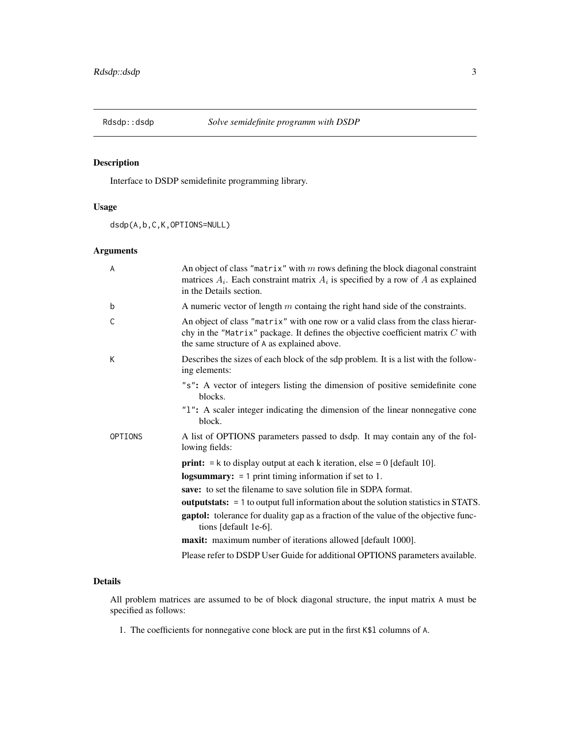<span id="page-2-0"></span>

#### Description

Interface to DSDP semidefinite programming library.

#### Usage

dsdp(A,b,C,K,OPTIONS=NULL)

#### Arguments

| A       | An object of class "matrix" with $m$ rows defining the block diagonal constraint<br>matrices $A_i$ . Each constraint matrix $A_i$ is specified by a row of A as explained<br>in the Details section.                 |
|---------|----------------------------------------------------------------------------------------------------------------------------------------------------------------------------------------------------------------------|
| b       | A numeric vector of length $m$ containg the right hand side of the constraints.                                                                                                                                      |
| C       | An object of class "matrix" with one row or a valid class from the class hierar-<br>chy in the "Matrix" package. It defines the objective coefficient matrix $C$ with<br>the same structure of A as explained above. |
| K       | Describes the sizes of each block of the sdp problem. It is a list with the follow-<br>ing elements:                                                                                                                 |
|         | "s": A vector of integers listing the dimension of positive semidefinite cone<br>blocks.                                                                                                                             |
|         | "1": A scaler integer indicating the dimension of the linear nonnegative cone<br>block.                                                                                                                              |
| OPTIONS | A list of OPTIONS parameters passed to dsdp. It may contain any of the fol-<br>lowing fields:                                                                                                                        |
|         | <b>print:</b> $=$ k to display output at each k iteration, else $= 0$ [default 10].                                                                                                                                  |
|         | logsummary: $= 1$ print timing information if set to 1.                                                                                                                                                              |
|         | save: to set the filename to save solution file in SDPA format.                                                                                                                                                      |
|         | <b>outputstats:</b> $= 1$ to output full information about the solution statistics in STATS.                                                                                                                         |
|         | <b>gaptol:</b> tolerance for duality gap as a fraction of the value of the objective func-<br>tions [default 1e-6].                                                                                                  |
|         | <b>maxit:</b> maximum number of iterations allowed [default 1000].                                                                                                                                                   |
|         | Please refer to DSDP User Guide for additional OPTIONS parameters available.                                                                                                                                         |

#### Details

All problem matrices are assumed to be of block diagonal structure, the input matrix A must be specified as follows:

1. The coefficients for nonnegative cone block are put in the first K\$l columns of A.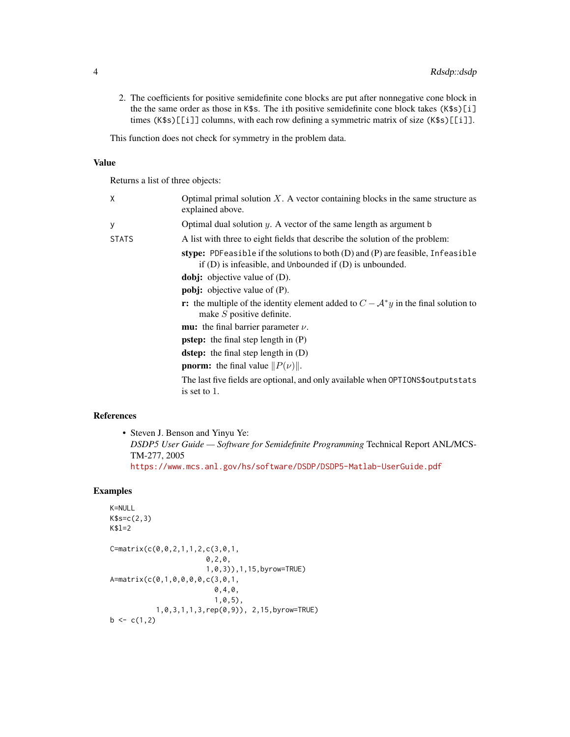2. The coefficients for positive semidefinite cone blocks are put after nonnegative cone block in the the same order as those in K\$s. The ith positive semidefinite cone block takes (K\$s)[i] times (K\$s)[[i]] columns, with each row defining a symmetric matrix of size (K\$s)[[i]].

This function does not check for symmetry in the problem data.

#### Value

Returns a list of three objects:

| χ            | Optimal primal solution $X$ . A vector containing blocks in the same structure as<br>explained above.                                           |
|--------------|-------------------------------------------------------------------------------------------------------------------------------------------------|
| У            | Optimal dual solution $y$ . A vector of the same length as argument b                                                                           |
| <b>STATS</b> | A list with three to eight fields that describe the solution of the problem:                                                                    |
|              | stype: PDFeasible if the solutions to both (D) and (P) are feasible, Infeasible<br>if $(D)$ is infeasible, and Unbounded if $(D)$ is unbounded. |
|              | <b>dobj:</b> objective value of $(D)$ .                                                                                                         |
|              | <b>pobj:</b> objective value of $(P)$ .                                                                                                         |
|              | <b>r:</b> the multiple of the identity element added to $C - A^*y$ in the final solution to<br>make $S$ positive definite.                      |
|              | <b>mu:</b> the final barrier parameter $\nu$ .                                                                                                  |
|              | <b>pstep:</b> the final step length in $(P)$                                                                                                    |
|              | <b>dstep:</b> the final step length in $(D)$                                                                                                    |
|              | <b>pnorm:</b> the final value $  P(\nu)  $ .                                                                                                    |
|              | The last five fields are optional, and only available when OPTIONS\$ output stats<br>is set to 1.                                               |

#### References

• Steven J. Benson and Yinyu Ye: *DSDP5 User Guide — Software for Semidefinite Programming* Technical Report ANL/MCS-TM-277, 2005 <https://www.mcs.anl.gov/hs/software/DSDP/DSDP5-Matlab-UserGuide.pdf>

#### Examples

```
K=NULL
K$s=c(2,3)
K$l=2
C=matrix(c(0,0,2,1,1,2,c(3,0,1,
                       0,2,0,
                       1,0,3)),1,15,byrow=TRUE)
A=matrix(c(0,1,0,0,0,0,c(3,0,1,
                         0,4,0,
                         1,0,5),
           1,0,3,1,1,3,rep(0,9)), 2,15,byrow=TRUE)
b \leq c(1,2)
```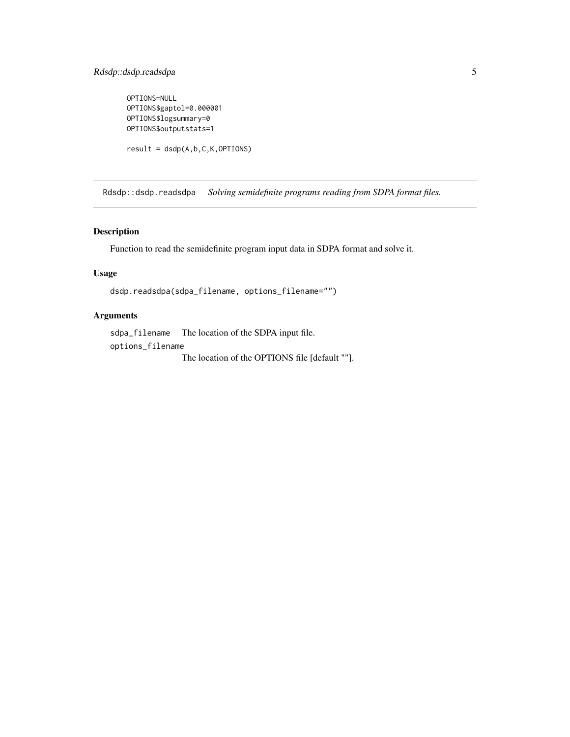#### <span id="page-4-0"></span>Rdsdp::dsdp.readsdpa 5

```
OPTIONS=NULL
OPTIONS$gaptol=0.000001
OPTIONS$logsummary=0
OPTIONS$outputstats=1
```

```
result = dsdp(A, b, C, K, OPTIONS)
```
Rdsdp::dsdp.readsdpa *Solving semidefinite programs reading from SDPA format files.*

#### Description

Function to read the semidefinite program input data in SDPA format and solve it.

#### Usage

```
dsdp.readsdpa(sdpa_filename, options_filename="")
```
#### Arguments

sdpa\_filename The location of the SDPA input file. options\_filename The location of the OPTIONS file [default ""].